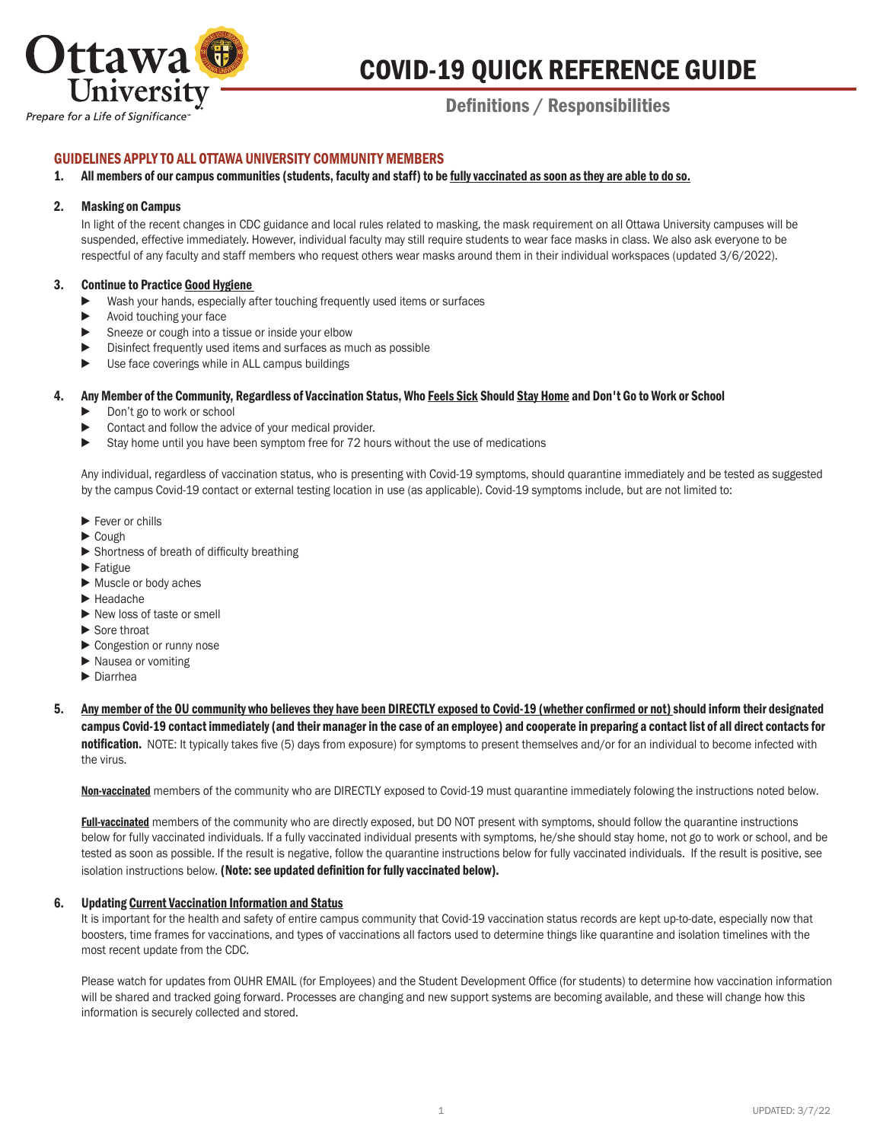

# COVID-19 QUICK REFERENCE GUIDE

# Definitions / Responsibilities

# Prepare for a Life of Significance

# GUIDELINES APPLY TO ALL OTTAWA UNIVERSITY COMMUNITY MEMBERS

#### 1. All members of our campus communities (students, faculty and staff) to be fully vaccinated as soon as they are able to do so.

#### 2. Masking on Campus

In light of the recent changes in CDC guidance and local rules related to masking, the mask requirement on all Ottawa University campuses will be suspended, effective immediately. However, individual faculty may still require students to wear face masks in class. We also ask everyone to be respectful of any faculty and staff members who request others wear masks around them in their individual workspaces (updated 3/6/2022).

#### 3. Continue to Practice Good Hygiene

- ▶ Wash your hands, especially after touching frequently used items or surfaces
- ► Avoid touching your face
- ► Sneeze or cough into a tissue or inside your elbow
- ▶ Disinfect frequently used items and surfaces as much as possible
- ► Use face coverings while in ALL campus buildings

#### 4. Any Member of the Community, Regardless of Vaccination Status, Who Feels Sick Should Stay Home and Don't Go to Work or School

- ► Don't go to work or school
- ► Contact and follow the advice of your medical provider.
- ▶ Stay home until you have been symptom free for 72 hours without the use of medications

 Any individual, regardless of vaccination status, who is presenting with Covid-19 symptoms, should quarantine immediately and be tested as suggested by the campus Covid-19 contact or external testing location in use (as applicable). Covid-19 symptoms include, but are not limited to:

- ► Fever or chills
- ► Cough
- ► Shortness of breath of difficulty breathing
- ► Fatigue
- ► Muscle or body aches
- ► Headache
- ► New loss of taste or smell
- ► Sore throat
- ► Congestion or runny nose
- ► Nausea or vomiting
- ► Diarrhea
- 5. Any member of the OU community who believes they have been DIRECTLY exposed to Covid-19 (whether confirmed or not) should inform their designated campus Covid-19 contact immediately (and their manager in the case of an employee) and cooperate in preparing a contact list of all direct contacts for notification. NOTE: It typically takes five (5) days from exposure) for symptoms to present themselves and/or for an individual to become infected with the virus.

Non-vaccinated members of the community who are DIRECTLY exposed to Covid-19 must quarantine immediately folowing the instructions noted below.

Full-vaccinated members of the community who are directly exposed, but DO NOT present with symptoms, should follow the quarantine instructions below for fully vaccinated individuals. If a fully vaccinated individual presents with symptoms, he/she should stay home, not go to work or school, and be tested as soon as possible. If the result is negative, follow the quarantine instructions below for fully vaccinated individuals. If the result is positive, see isolation instructions below. (Note: see updated definition for fully vaccinated below).

#### 6. Updating Current Vaccination Information and Status

It is important for the health and safety of entire campus community that Covid-19 vaccination status records are kept up-to-date, especially now that boosters, time frames for vaccinations, and types of vaccinations all factors used to determine things like quarantine and isolation timelines with the most recent update from the CDC.

 Please watch for updates from OUHR EMAIL (for Employees) and the Student Development Office (for students) to determine how vaccination information will be shared and tracked going forward. Processes are changing and new support systems are becoming available, and these will change how this information is securely collected and stored.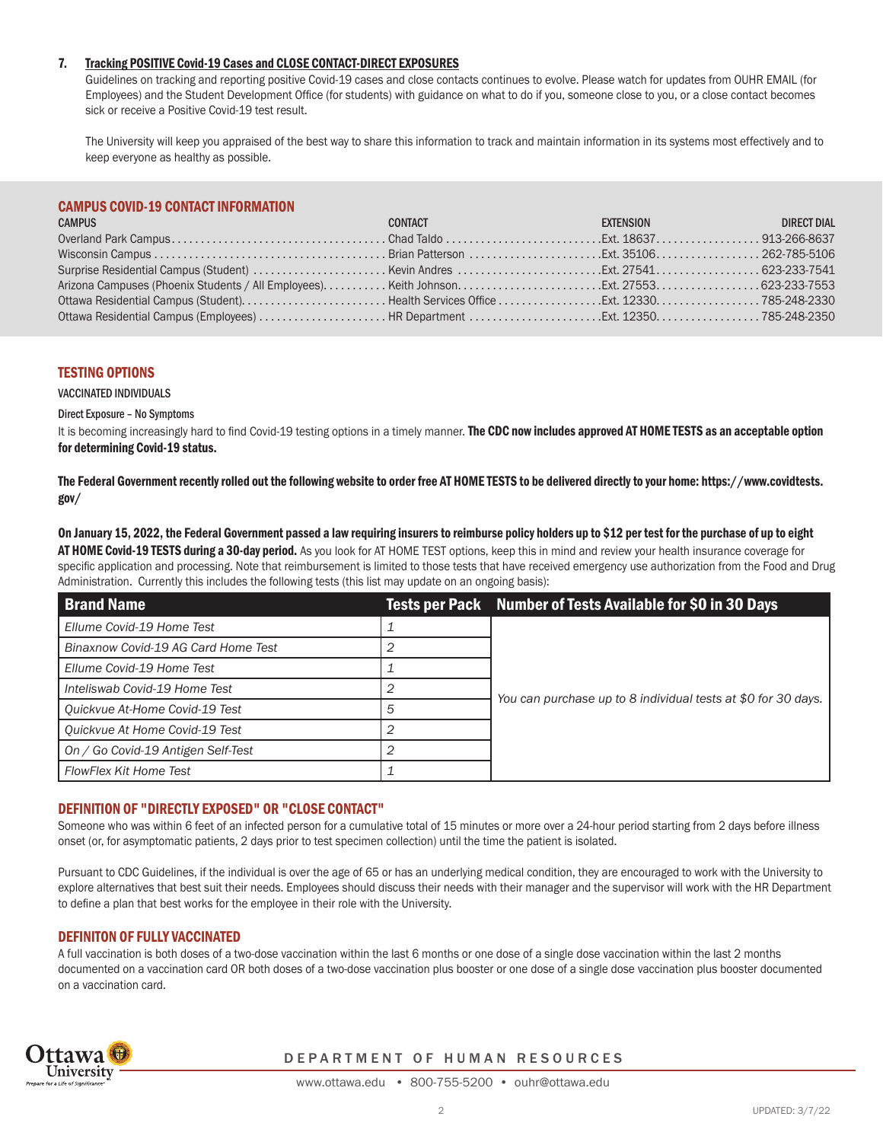## 7. Tracking POSITIVE Covid-19 Cases and CLOSE CONTACT-DIRECT EXPOSURES

 Guidelines on tracking and reporting positive Covid-19 cases and close contacts continues to evolve. Please watch for updates from OUHR EMAIL (for Employees) and the Student Development Office (for students) with guidance on what to do if you, someone close to you, or a close contact becomes sick or receive a Positive Covid-19 test result.

The University will keep you appraised of the best way to share this information to track and maintain information in its systems most effectively and to keep everyone as healthy as possible.

# CAMPUS COVID-19 CONTACT INFORMATION

| <b>CAMPUS</b> | <u> The Communication of the Communication of the Communication of the Communication of the Communication of the Communication of the Communication of the Communication of the Communication of the Communication of the Commun</u><br>CONTACT | <b>EXTENSION EXTENSION</b> | <b>DIRECT DIAL</b> |
|---------------|-------------------------------------------------------------------------------------------------------------------------------------------------------------------------------------------------------------------------------------------------|----------------------------|--------------------|
|               |                                                                                                                                                                                                                                                 |                            |                    |
|               |                                                                                                                                                                                                                                                 |                            |                    |
|               |                                                                                                                                                                                                                                                 |                            |                    |
|               |                                                                                                                                                                                                                                                 |                            |                    |
|               |                                                                                                                                                                                                                                                 |                            |                    |
|               |                                                                                                                                                                                                                                                 |                            |                    |

#### TESTING OPTIONS

VACCINATED INDIVIDUALS

#### Direct Exposure – No Symptoms

It is becoming increasingly hard to find Covid-19 testing options in a timely manner. The CDC now includes approved AT HOME TESTS as an acceptable option for determining Covid-19 status.

The Federal Government recently rolled out the following website to order free AT HOME TESTS to be delivered directly to your home: https://www.covidtests. gov/

On January 15, 2022, the Federal Government passed a law requiring insurers to reimburse policy holders up to \$12 per test for the purchase of up to eight AT HOME Covid-19 TESTS during a 30-day period. As you look for AT HOME TEST options, keep this in mind and review your health insurance coverage for specific application and processing. Note that reimbursement is limited to those tests that have received emergency use authorization from the Food and Drug Administration. Currently this includes the following tests (this list may update on an ongoing basis):

| <b>Brand Name</b>                   |   | Tests per Pack Number of Tests Available for \$0 in 30 Days   |  |
|-------------------------------------|---|---------------------------------------------------------------|--|
| Ellume Covid-19 Home Test           |   | You can purchase up to 8 individual tests at \$0 for 30 days. |  |
| Binaxnow Covid-19 AG Card Home Test |   |                                                               |  |
| Ellume Covid-19 Home Test           |   |                                                               |  |
| Inteliswab Covid-19 Home Test       |   |                                                               |  |
| Quickvue At-Home Covid-19 Test      | 5 |                                                               |  |
| Quickvue At Home Covid-19 Test      |   |                                                               |  |
| On / Go Covid-19 Antigen Self-Test  | 2 |                                                               |  |
| FlowFlex Kit Home Test              |   |                                                               |  |

#### DEFINITION OF "DIRECTLY EXPOSED" OR "CLOSE CONTACT"

Someone who was within 6 feet of an infected person for a cumulative total of 15 minutes or more over a 24-hour period starting from 2 days before illness onset (or, for asymptomatic patients, 2 days prior to test specimen collection) until the time the patient is isolated.

Pursuant to CDC Guidelines, if the individual is over the age of 65 or has an underlying medical condition, they are encouraged to work with the University to explore alternatives that best suit their needs. Employees should discuss their needs with their manager and the supervisor will work with the HR Department to define a plan that best works for the employee in their role with the University.

# DEFINITON OF FULLY VACCINATED

A full vaccination is both doses of a two-dose vaccination within the last 6 months or one dose of a single dose vaccination within the last 2 months documented on a vaccination card OR both doses of a two-dose vaccination plus booster or one dose of a single dose vaccination plus booster documented on a vaccination card.



#### DEPARTMENT OF HUMAN RESOURCES